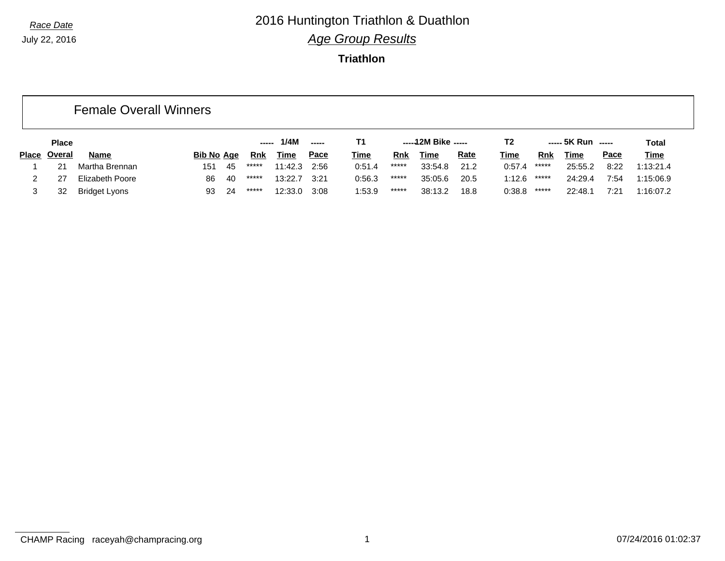### *Race Date* 2016 Huntington Triathlon & Duathlon *Age Group Results*

|              |              | <b>Female Overall Winners</b> |                   |    |       |              |               |             |            |                     |             |             |            |                    |             |             |
|--------------|--------------|-------------------------------|-------------------|----|-------|--------------|---------------|-------------|------------|---------------------|-------------|-------------|------------|--------------------|-------------|-------------|
|              | <b>Place</b> |                               |                   |    | ----- | 1/4M         | $\frac{1}{2}$ | T1          |            | -----12M Bike ----- |             | T2          |            | ----- 5K Run ----- |             | Total       |
| <b>Place</b> | Overal       | <b>Name</b>                   | <b>Bib No Age</b> |    | Rnk   | Time         | Pace          | <b>Time</b> | <u>Rnk</u> | Time                | <b>Rate</b> | <b>Time</b> | <u>Rnk</u> | Time               | <u>Pace</u> | <u>Time</u> |
|              | 21           | Martha Brennan                | 151               | 45 | ***** | 11:42.3 2:56 |               | 0:51.4      | *****      | 33:54.8             | 21.2        | 0:57.4      | *****      | 25:55.2            | 8:22        | 1:13:21.4   |
|              | 27           | Elizabeth Poore               | 86                | 40 | ***** | 13:22.7      | 3:21          | 0:56.3      | *****      | 35:05.6             | 20.5        | 1:12.6      | *****      | 24:29.4            | 7:54        | 1:15:06.9   |
|              | 32           | <b>Bridget Lyons</b>          | 93                | 24 | ***** | 12:33.0      | 3:08          | 1:53.9      | *****      | 38:13.2             | 18.8        | 0:38.8      | *****      | 22:48.1            | 7:21        | 1:16:07.2   |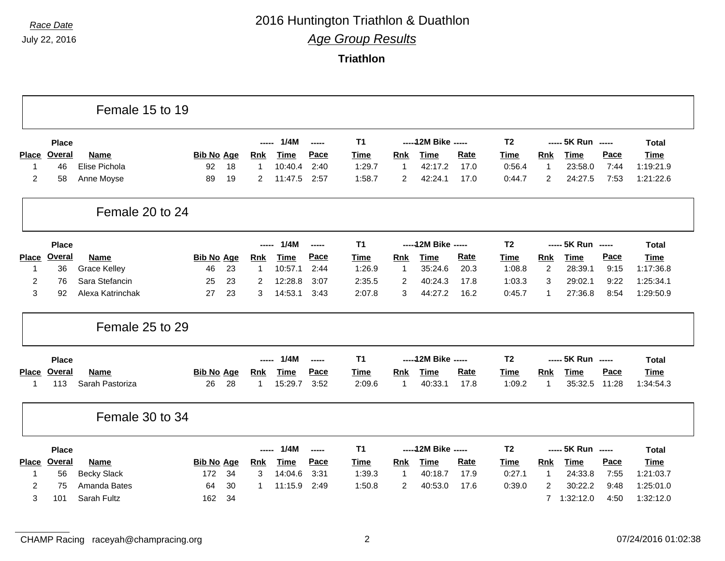# *Race Date* 2016 Huntington Triathlon & Duathlon

*Age Group Results*

**Triathlon**

|                |               | Female 15 to 19     |                   |                |             |        |             |                |                      |             |                |                |                    |       |              |
|----------------|---------------|---------------------|-------------------|----------------|-------------|--------|-------------|----------------|----------------------|-------------|----------------|----------------|--------------------|-------|--------------|
|                | <b>Place</b>  |                     |                   | -----          | 1/4M        | -----  | T1          |                | ----- 12M Bike ----- |             | T <sub>2</sub> |                | ----- 5K Run ----- |       | <b>Total</b> |
| Place          | <b>Overal</b> | <b>Name</b>         | <b>Bib No Age</b> | <b>Rnk</b>     | <b>Time</b> | Pace   | <b>Time</b> | <b>Rnk</b>     | <b>Time</b>          | Rate        | <b>Time</b>    | <b>Rnk</b>     | <b>Time</b>        | Pace  | <b>Time</b>  |
| $\mathbf 1$    | 46            | Elise Pichola       | 92<br>18          | $\mathbf{1}$   | 10:40.4     | 2:40   | 1:29.7      | 1              | 42:17.2              | 17.0        | 0:56.4         | 1              | 23:58.0            | 7:44  | 1:19:21.9    |
| $\overline{2}$ | 58            | Anne Moyse          | 89<br>19          | $\overline{2}$ | 11:47.5     | 2:57   | 1:58.7      | $\overline{c}$ | 42:24.1              | 17.0        | 0:44.7         | $\overline{2}$ | 24:27.5            | 7:53  | 1:21:22.6    |
|                |               | Female 20 to 24     |                   |                |             |        |             |                |                      |             |                |                |                    |       |              |
|                | <b>Place</b>  |                     |                   | -----          | 1/4M        | -----  | <b>T1</b>   |                | ----- 12M Bike ----- |             | T <sub>2</sub> |                | ----- 5K Run ----- |       | <b>Total</b> |
| <b>Place</b>   | <b>Overal</b> | <b>Name</b>         | <b>Bib No Age</b> | <b>Rnk</b>     | <b>Time</b> | Pace   | <b>Time</b> | <b>Rnk</b>     | <b>Time</b>          | Rate        | <b>Time</b>    | <b>Rnk</b>     | <b>Time</b>        | Pace  | Time         |
| $\mathbf 1$    | 36            | <b>Grace Kelley</b> | 46<br>23          | $\mathbf{1}$   | 10:57.1     | 2:44   | 1:26.9      | 1              | 35:24.6              | 20.3        | 1:08.8         | 2              | 28:39.1            | 9:15  | 1:17:36.8    |
| $\overline{c}$ | 76            | Sara Stefancin      | 23<br>25          | 2              | 12:28.8     | 3:07   | 2:35.5      | $\overline{c}$ | 40:24.3              | 17.8        | 1:03.3         | 3              | 29:02.1            | 9:22  | 1:25:34.1    |
| 3              | 92            | Alexa Katrinchak    | 23<br>27          | 3              | 14:53.1     | 3:43   | 2:07.8      | 3              | 44:27.2              | 16.2        | 0:45.7         | 1              | 27:36.8            | 8:54  | 1:29:50.9    |
|                |               | Female 25 to 29     |                   |                |             |        |             |                |                      |             |                |                |                    |       |              |
|                | <b>Place</b>  |                     |                   |                | 1/4M        | ------ | T1          |                | ----- 12M Bike ----- |             | T <sub>2</sub> |                | ----- 5K Run ----- |       | <b>Total</b> |
| <b>Place</b>   | Overal        | <b>Name</b>         | <b>Bib No Age</b> | <b>Rnk</b>     | <b>Time</b> | Pace   | Time        | Rnk            | <b>Time</b>          | <b>Rate</b> | <b>Time</b>    | <b>Rnk</b>     | <b>Time</b>        | Pace  | <b>Time</b>  |
| $\mathbf{1}$   | 113           | Sarah Pastoriza     | 26<br>28          | 1              | 15:29.7     | 3:52   | 2:09.6      | 1              | 40:33.1              | 17.8        | 1:09.2         | 1              | 35:32.5            | 11:28 | 1:34:54.3    |
|                |               | Female 30 to 34     |                   |                |             |        |             |                |                      |             |                |                |                    |       |              |
|                | <b>Place</b>  |                     |                   | -----          | 1/4M        | -----  | <b>T1</b>   |                | ----- 12M Bike ----- |             | T <sub>2</sub> |                | ----- 5K Run ----- |       | <b>Total</b> |
| <b>Place</b>   | <b>Overal</b> | <b>Name</b>         | <b>Bib No Age</b> | <u>Rnk</u>     | <b>Time</b> | Pace   | Time        | Rnk            | <b>Time</b>          | <b>Rate</b> | <b>Time</b>    | <b>Rnk</b>     | <b>Time</b>        | Pace  | <b>Time</b>  |
| $\mathbf{1}$   | 56            | <b>Becky Slack</b>  | 172<br>34         | 3              | 14:04.6     | 3:31   | 1:39.3      | 1              | 40:18.7              | 17.9        | 0:27.1         | 1              | 24:33.8            | 7:55  | 1:21:03.7    |
|                |               | Amanda Bates        | 30<br>64          |                |             | 2:49   | 1:50.8      | $\overline{c}$ | 40:53.0              | 17.6        | 0:39.0         | $\overline{2}$ | 30:22.2            | 9:48  | 1:25:01.0    |
| $\overline{2}$ | 75            |                     |                   | 1              | 11:15.9     |        |             |                |                      |             |                |                |                    |       |              |

CHAMP Racing raceyah@champracing.org 2 2 07/24/2016 01:02:38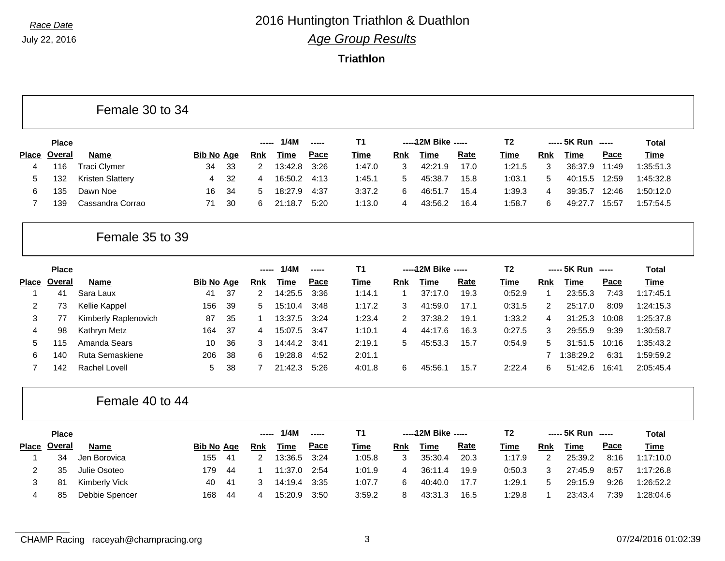#### **Triathlon**

#### Female 30 to 34

|              | <b>Place</b> |                         |            |     | $\frac{1}{2}$ | 1/4M        | $\frac{1}{2}$ | Τ1     |     | $---12M$ Bike $---$ |             | Τ2     |     | ----- 5K Run ----- |       | Total       |
|--------------|--------------|-------------------------|------------|-----|---------------|-------------|---------------|--------|-----|---------------------|-------------|--------|-----|--------------------|-------|-------------|
| <b>Place</b> | Overal       | Name                    | Bib No Age |     | Rnk           | <u>Time</u> | <u>Pace</u>   | Time   | Rnk | Time                | <b>Rate</b> | Time   | Rnk | Time               | Pace  | <u>Time</u> |
| 4            | 116          | Traci Clymer            | 34         | -33 |               | 13:42.8     | 3:26          | 1:47.0 |     | 42:21.9             | 17.0        | 1:21.5 |     | 36:37.9            | 11:49 | 1:35:51.3   |
|              | 132          | <b>Kristen Slattery</b> |            | 32  | 4             | 16:50.2     | 4:13          | 1:45.1 | 5   | 45:38.7             | 15.8        | 1:03.1 | :5  | 40:15.5            | 12:59 | 1:45:32.8   |
| 6            | 135          | Dawn Noe                | 16         | -34 | h.            | 18:27.9     | 4:37          | 3:37.2 |     | 46:51.              | 15.4        | 1:39.3 |     | 39:35.7            | 12:46 | 1:50:12.0   |
|              | 139          | Cassandra Corrao        | 71         | -30 |               | 21:18.7     | 5:20          | 1:13.0 |     | 43:56.2             | 16.4        | 1:58.7 |     | 49:27.             | 15:57 | 1:57:54.5   |

#### Female 35 to 39

|              | <b>Place</b> |                      |                   |      | $\begin{array}{c} \textbf{---} \end{array}$ | 1/4M    | -----       | <b>T1</b> |     | -----12M Bike ----- |             | T2     |     | $--- 5K Run$ $---$ |       | Total       |
|--------------|--------------|----------------------|-------------------|------|---------------------------------------------|---------|-------------|-----------|-----|---------------------|-------------|--------|-----|--------------------|-------|-------------|
| <b>Place</b> | Overal       | Name                 | <u>Bib No Age</u> |      | Rnk                                         | Time    | <u>Pace</u> | Time      | Rnk | Time                | <u>Rate</u> | Time   | Rnk | Time               | Pace  | <b>Time</b> |
|              | 41           | Sara Laux            | 41                | -37  |                                             | 14:25.5 | 3:36        | 1:14.1    |     | 37:17.0             | 19.3        | 0:52.9 |     | 23:55.3            | 7:43  | 1:17:45.1   |
|              | 73           | Kellie Kappel        | 156               | -39  | 5                                           | 15:10.4 | 3:48        | 1:17.2    |     | 41:59.0             | 17.1        | 0:31.5 |     | 25:17.0            | 8:09  | 1:24:15.3   |
| 3            |              | Kimberly Raplenovich | 87                | 35   |                                             | 13:37.5 | 3:24        | 1:23.4    |     | 37:38.2             | 19.1        | 1:33.2 | 4   | 31:25.3            | 10:08 | 1:25:37.8   |
| 4            | 98           | Kathryn Metz         | 164               | - 37 | 4                                           | 15:07.5 | 3:47        | 1:10.1    | 4   | 44:17.6             | 16.3        | 0:27.5 |     | 29:55.9            | 9:39  | 1:30:58.7   |
| 5            | 115          | Amanda Sears         | 10                | 36   | 3                                           | 14:44.2 | 3:41        | 2:19.1    | 5   | 45:53.3             | 15.7        | 0:54.9 | 5.  | 31:51.5            | 10:16 | 1:35:43.2   |
| 6            | 140          | Ruta Semaskiene      | 206               | -38  | 6                                           | 19:28.8 | 4:52        | 2:01.1    |     |                     |             |        |     | :38:29.2           | 6:31  | 1:59:59.2   |
|              | 142          | Rachel Lovell        | 5.                | 38   |                                             | 21:42.3 | 5:26        | 4:01.8    | ิค  | 45:56.              | 15.7        | 2:22.4 | 6   | 51:42.6            | 16:41 | 2:05:45.4   |

#### Female 40 to 44

|              | <b>Place</b> |                |                   |      | ----- | 1/4M    | -----       | Τ1          |     | -----12M Bike ----- |             | T2     |     | $--- 5K Run$ $---$ |      | Total       |
|--------------|--------------|----------------|-------------------|------|-------|---------|-------------|-------------|-----|---------------------|-------------|--------|-----|--------------------|------|-------------|
| <b>Place</b> | Overal       | <b>Name</b>    | <b>Bib No Age</b> |      | Rnk   | Time    | <u>Pace</u> | <u>Time</u> | Rnk | Time                | <u>Rate</u> | Time   | Rnk | Time               | Pace | <u>Time</u> |
|              | 34           | Jen Borovica   | 155               | -41  |       | 13:36.5 | 3:24        | 1:05.8      |     | 35:30.4             | 20.3        | 1:17.9 |     | 25:39.2            | 8:16 | 1:17:10.0   |
|              | 35           | Julie Osoteo   | 179               | -44  |       | 11:37.0 | 2:54        | 1:01.9      | 4   | 36:11.4             | 19.9        | 0:50.3 |     | 27:45.9            | 8:57 | 1:17:26.8   |
|              | 8'           | Kimberly Vick  | 40                | - 41 |       | 14:19.4 | 3:35        | 1:07.7      | 6   | 40:40.0             | 17.7        | 1:29.1 | 5   | 29:15.9            | 9:26 | 1:26:52.2   |
| 4            | -85          | Debbie Spencer | 168               | -44  |       | 15:20.9 | 3:50        | 3:59.2      |     | 43:31.3             | 16.5        | 1:29.8 |     | 23:43.4            | 7:39 | 1:28:04.6   |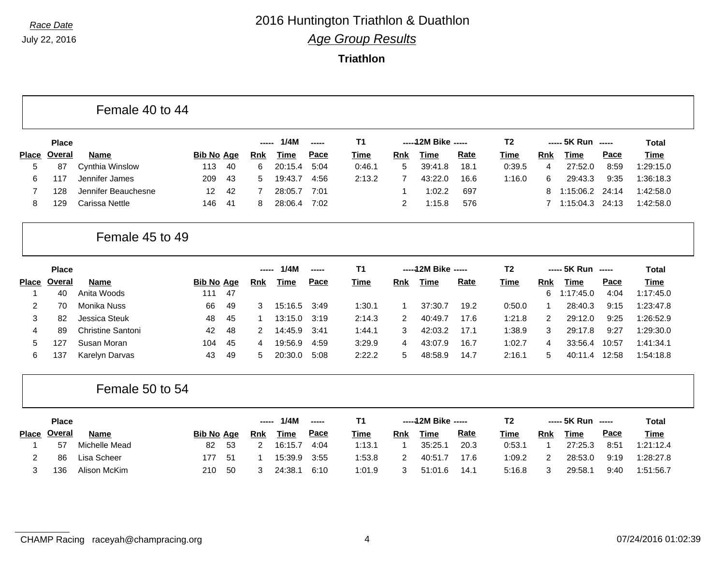#### **Triathlon**

| Female 40 to 44 |  |  |
|-----------------|--|--|
|-----------------|--|--|

|              | <b>Place</b>    |                     |                   |      | ------       | 1/4M    | $- - - - -$ | Τ1          |     | $---12M$ Bike $---$ |             | T2     |     | ----- 5K Run ----- |       | Total       |
|--------------|-----------------|---------------------|-------------------|------|--------------|---------|-------------|-------------|-----|---------------------|-------------|--------|-----|--------------------|-------|-------------|
| <b>Place</b> | Overal          | <b>Name</b>         | <b>Bib No Age</b> |      | <b>Rnk</b>   | Time    | <u>Pace</u> | <u>Time</u> | Rnk | Time                | <u>Rate</u> | Time   | Rnk | Time               | Pace  | <b>Time</b> |
| $5^{\circ}$  | 87              | Cynthia Winslow     | 113               | -40  | 6.           | 20:15.4 | 5:04        | 0:46.1      | 5   | 39:41.8             | 18.1        | 0:39.5 |     | 27:52.0            | 8:59  | 1:29:15.0   |
| 6.           | 11 <sub>7</sub> | Jennifer James      | 209               | - 43 | $\mathbf{b}$ | 19:43.7 | 4:56        | 2:13.2      |     | 43:22.0             | 16.6        | 1:16.0 | 6   | 29:43.3            | 9:35  | 1:36:18.3   |
|              | 128             | Jennifer Beauchesne | 12                | -42  |              | 28:05.7 | 7:01        |             |     | 1:02.2              | -697        |        | 8.  | 1:15:06.2 24:14    |       | 1:42:58.0   |
|              | 129             | Carissa Nettle      | 146               | - 41 |              | 28:06.4 | 7:02        |             |     | 1:15.8              | 576         |        |     | 1:15:04.3          | 24:13 | 1:42:58.0   |

#### Female 45 to 49

|              | <b>Place</b> |                          |                   |     | ----- | 1/4M    | -----       | Τ1     |            | $---12M$ Bike $---$ |      | T2     |     | ----- 5K Run ----- |       | Total       |
|--------------|--------------|--------------------------|-------------------|-----|-------|---------|-------------|--------|------------|---------------------|------|--------|-----|--------------------|-------|-------------|
| <b>Place</b> | Overal       | <b>Name</b>              | <b>Bib No Age</b> |     | Rnk   | Time    | <u>Pace</u> | Time   | <b>Rnk</b> | Time                | Rate | Time   | Rnk | Time               | Pace  | <b>Time</b> |
|              | 40           | Anita Woods              | 111               | -47 |       |         |             |        |            |                     |      |        | 6.  | :17:45.0           | 4:04  | 1:17:45.0   |
|              | 70           | Monika Nuss              | 66                | -49 |       | 15:16.5 | 3:49        | 1:30.1 |            | 37:30.7             | 19.2 | 0:50.0 |     | 28:40.3            | 9:15  | 1:23:47.8   |
|              | 82           | Jessica Steuk            | 48                | -45 |       | 13:15.0 | 3:19        | 2:14.3 | 2          | 40:49.7             | 17.6 | 1:21.8 |     | 29:12.0            | 9:25  | 1:26:52.9   |
| 4            | 89           | <b>Christine Santoni</b> | 42                | 48  |       | 14:45.9 | 3:41        | 1:44.1 | 3          | 42:03.2             | 17.1 | 1:38.9 | 3   | 29:17.8            | 9:27  | 1:29:30.0   |
| 5.           | 127          | Susan Moran              | 104               | 45  | 4     | 19:56.9 | 4:59        | 3:29.9 |            | 43:07.9             | 16.7 | 1:02.7 | 4   | 33:56.4            | 10:57 | 1:41:34.1   |
| 6            | 137          | Karelyn Darvas           | 43                | -49 | :5    | 20:30.0 | 5:08        | 2:22.2 |            | 48:58.9             | 14.7 | 2:16.1 | 5.  | 40:11.4            | 2:58  | 1:54:18.8   |

Female 50 to 54

|              | <b>Place</b> |               |                   |      | ----- | 1/4M        | $- - - - -$ | T1     |     | -----12M Bike ----- |             | T2     |            | ----- 5K Run ----- |      | <b>Total</b> |
|--------------|--------------|---------------|-------------------|------|-------|-------------|-------------|--------|-----|---------------------|-------------|--------|------------|--------------------|------|--------------|
| <b>Place</b> | Overal       | <b>Name</b>   | <b>Bib No Age</b> |      | Rnk   | <u>Time</u> | <u>Pace</u> | Time   | Rnk | Time                | <u>Rate</u> | Time   | <b>Rnk</b> | Time               | Pace | <b>Time</b>  |
|              | 57           | Michelle Mead | 82                | - 53 |       | 16:15.7     | 4:04        | 1:13.1 |     | 35:25.1             | 20.3        | 0:53.1 |            | 27:25.3            | 8:51 | 1:21:12.4    |
|              | 86           | Lisa Scheer   | 177               | -51  |       | 15:39.9     | 3:55        | 1:53.8 |     | 40:51.7             | 17.6        | 1:09.2 |            | 28:53.0            | 9:19 | 1:28:27.8    |
|              | 136          | Alison McKim  | 210               | -50  |       | 24:38.1     | 6:10        | 1:01.9 |     | 51:01.6             | 14.1        | 5:16.8 |            | 29:58.1            | 9:40 | 1:51:56.7    |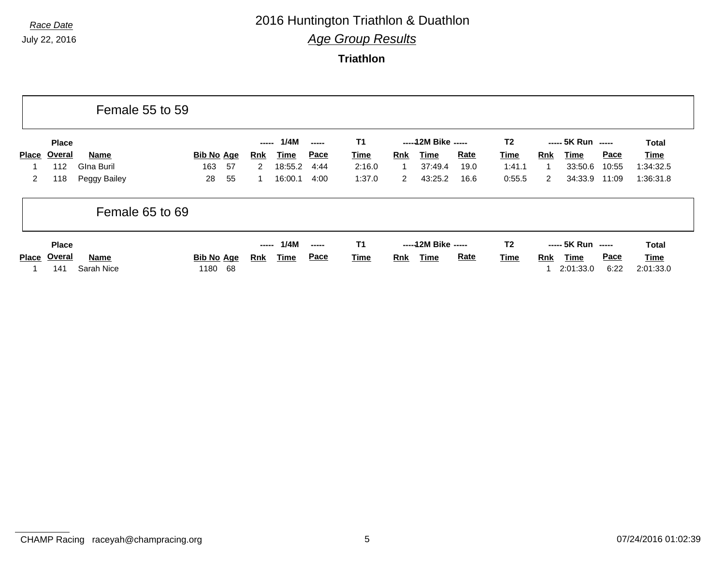# *Race Date* 2016 Huntington Triathlon & Duathlon

*Age Group Results*

|              |                                      | Female 55 to 59    |                                 |                     |                     |                              |                        |            |                              |             |                        |            |                                         |                     |                            |
|--------------|--------------------------------------|--------------------|---------------------------------|---------------------|---------------------|------------------------------|------------------------|------------|------------------------------|-------------|------------------------|------------|-----------------------------------------|---------------------|----------------------------|
|              | <b>Place</b>                         |                    |                                 | -----               | 1/4M                | $\frac{1}{2}$                | <b>T1</b>              |            | ----- 12M Bike -----         |             | T <sub>2</sub>         |            | ----- 5K Run -----                      |                     | <b>Total</b>               |
| <b>Place</b> | Overal                               | <b>Name</b>        | <b>Bib No Age</b>               | Rnk                 | <u>Time</u>         | <b>Pace</b>                  | <b>Time</b>            | <b>Rnk</b> | Time                         | <b>Rate</b> | <u>Time</u>            | <b>Rnk</b> | Time                                    | Pace                | Time                       |
|              | 112                                  | Glna Buril         | 163<br>57                       | 2                   | 18:55.2             | 4:44                         | 2:16.0                 |            | 37:49.4                      | 19.0        | 1:41.1                 |            | 33:50.6                                 | 10:55               | 1:34:32.5                  |
| $\mathbf{2}$ | 118                                  | Peggy Bailey       | 55<br>28                        | 1                   | 16:00.1             | 4:00                         | 1:37.0                 | 2          | 43:25.2                      | 16.6        | 0:55.5                 | 2          | 34:33.9                                 | 11:09               | 1:36:31.8                  |
|              |                                      | Female 65 to 69    |                                 |                     |                     |                              |                        |            |                              |             |                        |            |                                         |                     |                            |
| <b>Place</b> | <b>Place</b><br><u>Overal</u><br>141 | Name<br>Sarah Nice | <b>Bib No Age</b><br>68<br>1180 | -----<br><u>Rnk</u> | 1/4M<br><u>Time</u> | $\frac{1}{2}$<br><b>Pace</b> | T <sub>1</sub><br>Time | <b>Rnk</b> | ----- 12M Bike -----<br>Time | <b>Rate</b> | T <sub>2</sub><br>Time | <b>Rnk</b> | ----- 5K Run -----<br>Time<br>2:01:33.0 | <b>Pace</b><br>6:22 | Total<br>Time<br>2:01:33.0 |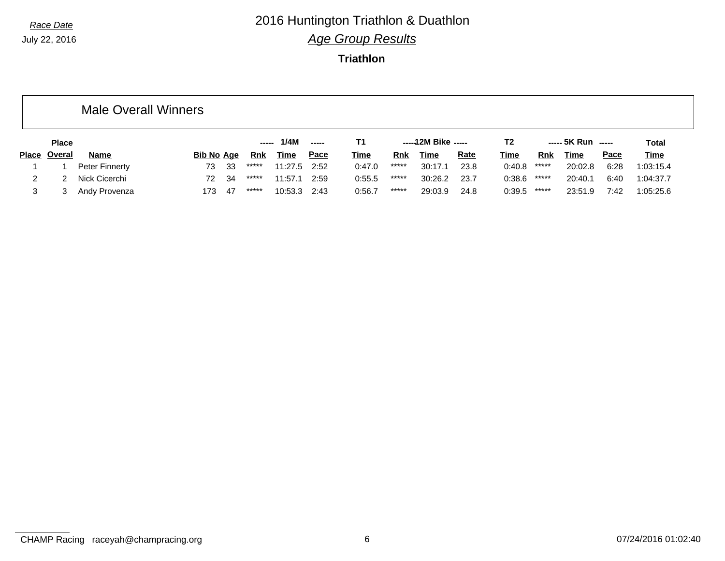### *Race Date* 2016 Huntington Triathlon & Duathlon *Age Group Results*

|              |              | <b>Male Overall Winners</b> |                   |    |       |         |             |             |            |                     |             |             |            |                    |             |             |
|--------------|--------------|-----------------------------|-------------------|----|-------|---------|-------------|-------------|------------|---------------------|-------------|-------------|------------|--------------------|-------------|-------------|
|              | <b>Place</b> |                             |                   |    | ----- | 1/4M    | -----       | Т1          |            | $---12M$ Bike $---$ |             | T2          |            | $---$ 5K Run $---$ |             | Total       |
| <b>Place</b> | Overal       | <b>Name</b>                 | <b>Bib No Age</b> |    | Rnk   | Time    | <u>Pace</u> | <b>Time</b> | <u>Rnk</u> | Time                | <b>Rate</b> | <b>Time</b> | <b>Rnk</b> | <u>Time</u>        | <u>Pace</u> | <b>Time</b> |
|              |              | Peter Finnerty              | 73                | 33 | ***** | 11:27.5 | 2:52        | 0:47.0      | *****      | 30:17.1             | 23.8        | 0:40.8      | *****      | 20:02.8            | 6:28        | 1:03:15.4   |
| 2            |              | Nick Cicerchi               | 72                | 34 | ***** | 11:57.1 | 2:59        | 0:55.5      | *****      | 30:26.2             | 23.7        | 0:38.6      | *****      | 20:40.1            | 6:40        | 1:04:37.7   |
| 3            |              | Andy Provenza               | 173               | 47 | ***** | 10:53.3 | 2:43        | 0:56.7      | $*****$    | 29:03.9             | 24.8        | 0:39.5      | *****      | 23:51.9            | 7:42        | 1:05:25.6   |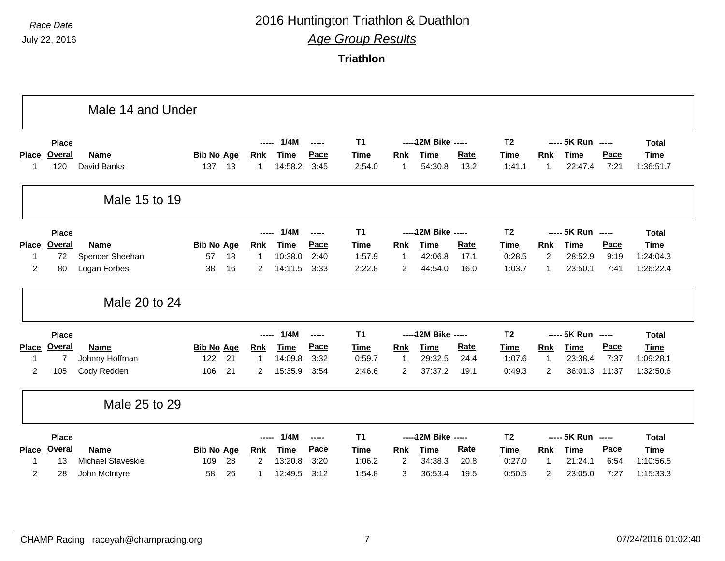### *Race Date* 2016 Huntington Triathlon & Duathlon *Age Group Results*

|                |                | Male 14 and Under        |                   |    |                |             |        |                |                |                      |             |                |                |                    |       |              |
|----------------|----------------|--------------------------|-------------------|----|----------------|-------------|--------|----------------|----------------|----------------------|-------------|----------------|----------------|--------------------|-------|--------------|
|                | <b>Place</b>   |                          |                   |    | $---$          | 1/4M        | ------ | T <sub>1</sub> |                | ----- 12M Bike ----- |             | <b>T2</b>      |                | ----- 5K Run ----- |       | <b>Total</b> |
| Place          | Overal         | Name                     | <b>Bib No Age</b> |    | Rnk            | <b>Time</b> | Pace   | <b>Time</b>    | Rnk            | <b>Time</b>          | <b>Rate</b> | Time           | Rnk            | Time               | Pace  | <b>Time</b>  |
| -1             | 120            | David Banks              | 137               | 13 | 1              | 14:58.2     | 3:45   | 2:54.0         | -1             | 54:30.8              | 13.2        | 1:41.1         | 1              | 22:47.4            | 7:21  | 1:36:51.7    |
|                |                | Male 15 to 19            |                   |    |                |             |        |                |                |                      |             |                |                |                    |       |              |
|                | <b>Place</b>   |                          |                   |    | $- - - -$      | 1/4M        | -----  | T <sub>1</sub> |                | ----- 12M Bike ----- |             | T <sub>2</sub> |                | ----- 5K Run ----- |       | <b>Total</b> |
| <b>Place</b>   | <b>Overal</b>  | <b>Name</b>              | <b>Bib No Age</b> |    | <b>Rnk</b>     | <b>Time</b> | Pace   | <b>Time</b>    | Rnk            | <b>Time</b>          | <b>Rate</b> | <b>Time</b>    | Rnk            | <b>Time</b>        | Pace  | <b>Time</b>  |
| $\mathbf 1$    | 72             | Spencer Sheehan          | 57                | 18 | $\mathbf{1}$   | 10:38.0     | 2:40   | 1:57.9         | $\mathbf{1}$   | 42:06.8              | 17.1        | 0:28.5         | $\overline{2}$ | 28:52.9            | 9:19  | 1:24:04.3    |
| $\overline{2}$ | 80             | Logan Forbes             | 38                | 16 | $\overline{2}$ | 14:11.5     | 3:33   | 2:22.8         | 2              | 44:54.0              | 16.0        | 1:03.7         | $\mathbf{1}$   | 23:50.1            | 7:41  | 1:26:22.4    |
|                |                | Male 20 to 24            |                   |    |                |             |        |                |                |                      |             |                |                |                    |       |              |
|                | <b>Place</b>   |                          |                   |    |                | 1/4M        | ------ | T <sub>1</sub> |                | ----- 12M Bike ----- |             | <b>T2</b>      |                | ----- 5K Run ----- |       | <b>Total</b> |
| <b>Place</b>   | <b>Overal</b>  | <b>Name</b>              | <b>Bib No Age</b> |    | <b>Rnk</b>     | <b>Time</b> | Pace   | <b>Time</b>    | <b>Rnk</b>     | <b>Time</b>          | <b>Rate</b> | Time           | <b>Rnk</b>     | <b>Time</b>        | Pace  | <b>Time</b>  |
| $\mathbf 1$    | $\overline{7}$ | Johnny Hoffman           | 122               | 21 | 1              | 14:09.8     | 3:32   | 0:59.7         | $\mathbf 1$    | 29:32.5              | 24.4        | 1:07.6         | $\mathbf{1}$   | 23:38.4            | 7:37  | 1:09:28.1    |
| $\overline{2}$ | 105            | Cody Redden              | 106               | 21 | $\overline{2}$ | 15:35.9     | 3:54   | 2:46.6         | $\overline{2}$ | 37:37.2              | 19.1        | 0:49.3         | $\overline{c}$ | 36:01.3            | 11:37 | 1:32:50.6    |
|                |                | Male 25 to 29            |                   |    |                |             |        |                |                |                      |             |                |                |                    |       |              |
|                | <b>Place</b>   |                          |                   |    | $---$          | 1/4M        | -----  | T <sub>1</sub> |                | ----- 12M Bike ----- |             | T <sub>2</sub> |                | ----- 5K Run ----- |       | <b>Total</b> |
| <b>Place</b>   | <b>Overal</b>  | Name                     | <b>Bib No Age</b> |    | <u>Rnk</u>     | <b>Time</b> | Pace   | Time           | Rnk            | <b>Time</b>          | <b>Rate</b> | <b>Time</b>    | Rnk            | <b>Time</b>        | Pace  | <b>Time</b>  |
| $\mathbf 1$    | 13             | <b>Michael Staveskie</b> | 109               | 28 | $\overline{2}$ | 13:20.8     | 3:20   | 1:06.2         | 2              | 34:38.3              | 20.8        | 0:27.0         | 1              | 21:24.1            | 6:54  | 1:10:56.5    |
| 2              | 28             | John McIntyre            | 58                | 26 | 1              | 12:49.5     | 3:12   | 1:54.8         | 3              | 36:53.4              | 19.5        | 0:50.5         | $\overline{2}$ | 23:05.0            | 7:27  | 1:15:33.3    |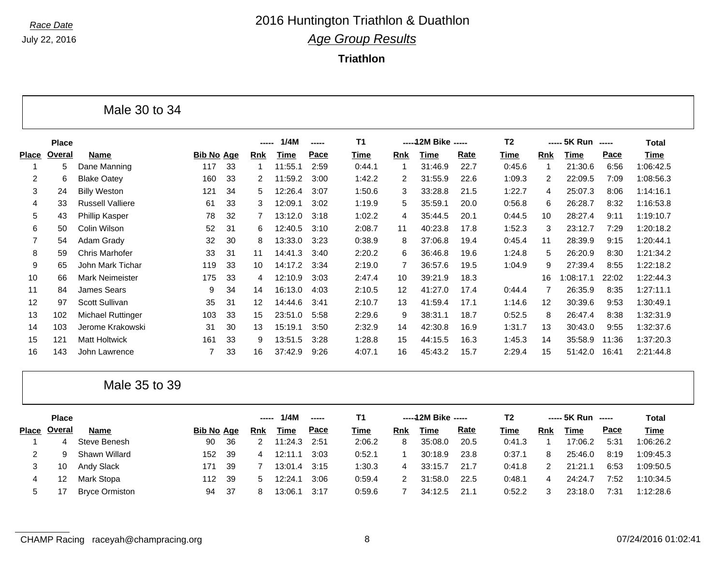Е

# *Race Date* 2016 Huntington Triathlon & Duathlon *Age Group Results*

**Triathlon**

|                |               | Male 30 to 34           |                   |    |                |             |               |                |                |                      |      |                |                |                    |       |              |
|----------------|---------------|-------------------------|-------------------|----|----------------|-------------|---------------|----------------|----------------|----------------------|------|----------------|----------------|--------------------|-------|--------------|
|                | <b>Place</b>  |                         |                   |    | -----          | 1/4M        | $- - - - -$   | <b>T1</b>      |                | ----- 12M Bike ----- |      | T <sub>2</sub> |                | ----- 5K Run ----- |       | <b>Total</b> |
| <b>Place</b>   | <b>Overal</b> | <b>Name</b>             | <b>Bib No Age</b> |    | <b>Rnk</b>     | <b>Time</b> | Pace          | <b>Time</b>    | Rnk            | <b>Time</b>          | Rate | <b>Time</b>    | <b>Rnk</b>     | <b>Time</b>        | Pace  | <b>Time</b>  |
| -1             | 5             | Dane Manning            | 117               | 33 | -1             | 11:55.1     | 2:59          | 0:44.1         | -1             | 31:46.9              | 22.7 | 0:45.6         | $\mathbf{1}$   | 21:30.6            | 6:56  | 1:06:42.5    |
| $\overline{2}$ | 6             | <b>Blake Oatey</b>      | 160               | 33 | $\overline{c}$ | 11:59.2     | 3:00          | 1:42.2         | 2              | 31:55.9              | 22.6 | 1:09.3         | 2              | 22:09.5            | 7:09  | 1:08:56.3    |
| 3              | 24            | <b>Billy Weston</b>     | 121               | 34 | 5              | 12:26.4     | 3:07          | 1:50.6         | 3              | 33:28.8              | 21.5 | 1:22.7         | $\overline{4}$ | 25:07.3            | 8:06  | 1:14:16.1    |
| 4              | 33            | <b>Russell Valliere</b> | 61                | 33 | 3              | 12:09.1     | 3:02          | 1:19.9         | 5              | 35:59.1              | 20.0 | 0:56.8         | 6              | 26:28.7            | 8:32  | 1:16:53.8    |
| 5              | 43            | Phillip Kasper          | 78                | 32 | 7              | 13:12.0     | 3:18          | 1:02.2         | 4              | 35:44.5              | 20.1 | 0:44.5         | 10             | 28:27.4            | 9:11  | 1:19:10.7    |
| 6              | 50            | Colin Wilson            | 52                | 31 | 6              | 12:40.5     | 3:10          | 2:08.7         | 11             | 40:23.8              | 17.8 | 1:52.3         | 3              | 23:12.7            | 7:29  | 1:20:18.2    |
| $\overline{7}$ | 54            | Adam Grady              | 32                | 30 | 8              | 13:33.0     | 3:23          | 0:38.9         | 8              | 37:06.8              | 19.4 | 0:45.4         | 11             | 28:39.9            | 9:15  | 1:20:44.1    |
| 8              | 59            | <b>Chris Marhofer</b>   | 33                | 31 | 11             | 14:41.3     | 3:40          | 2:20.2         | 6              | 36:46.8              | 19.6 | 1:24.8         | 5              | 26:20.9            | 8:30  | 1:21:34.2    |
| 9              | 65            | John Mark Tichar        | 119               | 33 | 10             | 14:17.2     | 3:34          | 2:19.0         | $\overline{7}$ | 36:57.6              | 19.5 | 1:04.9         | 9              | 27:39.4            | 8:55  | 1:22:18.2    |
| 10             | 66            | <b>Mark Neimeister</b>  | 175               | 33 | 4              | 12:10.9     | 3:03          | 2:47.4         | 10             | 39:21.9              | 18.3 |                | 16             | 1:08:17.1          | 22:02 | 1:22:44.3    |
| 11             | 84            | <b>James Sears</b>      | 9                 | 34 | 14             | 16:13.0     | 4:03          | 2:10.5         | 12             | 41:27.0              | 17.4 | 0:44.4         | 7              | 26:35.9            | 8:35  | 1:27:11.1    |
| 12             | 97            | Scott Sullivan          | 35                | 31 | 12             | 14:44.6     | 3:41          | 2:10.7         | 13             | 41:59.4              | 17.1 | 1:14.6         | 12             | 30:39.6            | 9:53  | 1:30:49.1    |
| 13             | 102           | Michael Ruttinger       | 103               | 33 | 15             | 23:51.0     | 5:58          | 2:29.6         | 9              | 38:31.1              | 18.7 | 0:52.5         | 8              | 26:47.4            | 8:38  | 1:32:31.9    |
| 14             | 103           | Jerome Krakowski        | 31                | 30 | 13             | 15:19.1     | 3:50          | 2:32.9         | 14             | 42:30.8              | 16.9 | 1:31.7         | 13             | 30:43.0            | 9:55  | 1:32:37.6    |
| 15             | 121           | <b>Matt Holtwick</b>    | 161               | 33 | 9              | 13:51.5     | 3:28          | 1:28.8         | 15             | 44:15.5              | 16.3 | 1:45.3         | 14             | 35:58.9            | 11:36 | 1:37:20.3    |
| 16             | 143           | John Lawrence           | $\overline{7}$    | 33 | 16             | 37:42.9     | 9:26          | 4:07.1         | 16             | 45:43.2              | 15.7 | 2:29.4         | 15             | 51:42.0            | 16:41 | 2:21:44.8    |
|                |               | Male 35 to 39           |                   |    |                |             |               |                |                |                      |      |                |                |                    |       |              |
|                | <b>Place</b>  |                         |                   |    | -----          | 1/4M        | $\frac{1}{2}$ | T <sub>1</sub> |                | ----- 12M Bike ----- |      | T <sub>2</sub> | -----          | 5K Run -----       |       | <b>Total</b> |
| <b>Place</b>   | <b>Overal</b> | <b>Name</b>             | <b>Bib No Age</b> |    | <b>Rnk</b>     | <b>Time</b> | Pace          | <b>Time</b>    | Rnk            | <b>Time</b>          | Rate | <b>Time</b>    | Rnk            | <b>Time</b>        | Pace  | <b>Time</b>  |
|                | 4             | Steve Benesh            | 90                | 36 | 2              | 11:24.3     | 2:51          | 2:06.2         | 8              | 35:08.0              | 20.5 | 0:41.3         | $\mathbf 1$    | 17:06.2            | 5:31  | 1:06:26.2    |
| 2              | 9             | Shawn Willard           | 152               | 39 | 4              | 12:11.1     | 3:03          | 0:52.1         | -1             | 30:18.9              | 23.8 | 0:37.1         | 8              | 25:46.0            | 8:19  | 1:09:45.3    |
| 3              | 10            | Andy Slack              | 171               | 39 | 7              | 13:01.4     | 3:15          | 1:30.3         | 4              | 33:15.7              | 21.7 | 0:41.8         | 2              | 21:21.1            | 6:53  | 1:09:50.5    |
| 4              | 12            | Mark Stopa              | 112               | 39 | 5              | 12:24.1     | 3:06          | 0:59.4         | 2              | 31:58.0              | 22.5 | 0:48.1         | 4              | 24:24.7            | 7:52  | 1:10:34.5    |
| 5              | 17            | <b>Bryce Ormiston</b>   | 94                | 37 | 8              | 13:06.1     | 3:17          | 0:59.6         | $\overline{7}$ | 34:12.5              | 21.1 | 0:52.2         | 3              | 23:18.0            | 7:31  | 1:12:28.6    |

┑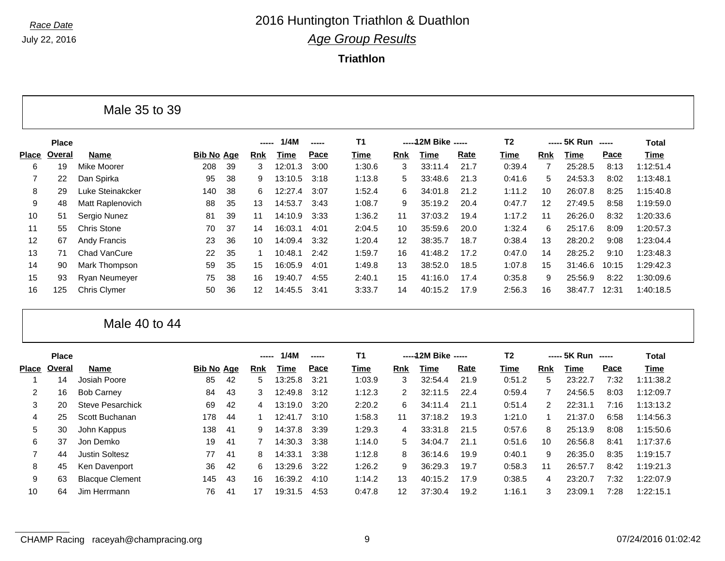**Triathlon**

|              |              | Male 35 to 39       |                   |    |            |         |       |        |                   |                      |      |                |                   |                    |       |           |
|--------------|--------------|---------------------|-------------------|----|------------|---------|-------|--------|-------------------|----------------------|------|----------------|-------------------|--------------------|-------|-----------|
|              | <b>Place</b> |                     |                   |    |            | 1/4M    | ----- | Τ1     |                   | ----- 12M Bike ----- |      | T <sub>2</sub> |                   | ----- 5K Run ----- |       | Total     |
| <b>Place</b> | Overal       | <b>Name</b>         | <b>Bib No Age</b> |    | <b>Rnk</b> | Time    | Pace  | Time   | Rnk               | Time                 | Rate | Time           | <b>Rnk</b>        | Time               | Pace  | Time      |
| 6            | 19           | Mike Moorer         | 208               | 39 | 3.         | 12:01.3 | 3:00  | 1:30.6 | 3                 | 33:11.4              | 21.7 | 0:39.4         |                   | 25:28.5            | 8:13  | 1:12:51.4 |
|              | 22           | Dan Spirka          | 95                | 38 | 9          | 13:10.5 | 3:18  | 1:13.8 | 5                 | 33:48.6              | 21.3 | 0:41.6         | 5.                | 24:53.3            | 8:02  | 1:13:48.1 |
| 8            | 29           | Luke Steinakcker    | 140               | 38 | 6.         | 12:27.4 | 3:07  | 1:52.4 | 6                 | 34:01.8              | 21.2 | 1:11.2         | 10                | 26:07.8            | 8:25  | 1:15:40.8 |
| 9            | 48           | Matt Raplenovich    | 88                | 35 | 13         | 14:53.7 | 3:43  | 1:08.7 | 9                 | 35:19.2              | 20.4 | 0:47.7         | $12 \overline{ }$ | 27:49.5            | 8:58  | 1:19:59.0 |
| 10           | 51           | Sergio Nunez        | 81                | 39 | 11         | 14:10.9 | 3:33  | 1:36.2 | 11                | 37:03.2              | 19.4 | 1:17.2         | 11                | 26:26.0            | 8:32  | 1:20:33.6 |
| 11           | 55           | <b>Chris Stone</b>  | 70                | 37 | 14         | 16:03.1 | 4:01  | 2:04.5 | 10                | 35:59.6              | 20.0 | 1:32.4         | 6                 | 25:17.6            | 8:09  | 1:20:57.3 |
| 12           | 67           | Andy Francis        | 23                | 36 | 10         | 14:09.4 | 3:32  | 1:20.4 | $12 \overline{ }$ | 38:35.7              | 18.7 | 0:38.4         | 13                | 28:20.2            | 9:08  | 1:23:04.4 |
| 13           | 71           | Chad VanCure        | 22                | 35 |            | 10:48.1 | 2:42  | 1:59.7 | 16                | 41:48.2              | 17.2 | 0:47.0         | 14                | 28:25.2            | 9:10  | 1:23:48.3 |
| 14           | 90           | Mark Thompson       | 59                | 35 | 15         | 16:05.9 | 4:01  | 1:49.8 | 13                | 38:52.0              | 18.5 | 1:07.8         | 15                | 31:46.6            | 10:15 | 1:29:42.3 |
| 15           | 93           | Ryan Neumeyer       | 75                | 38 | 16         | 19:40.7 | 4:55  | 2:40.1 | 15                | 41:16.0              | 17.4 | 0:35.8         | 9                 | 25:56.9            | 8:22  | 1:30:09.6 |
| 16           | 125          | <b>Chris Clymer</b> | 50                | 36 | 12         | 14:45.5 | 3:41  | 3:33.7 | 14                | 40:15.2              | 17.9 | 2:56.3         | 16                | 38:47.7            | 12:31 | 1:40:18.5 |

Male 40 to 44

|       | <b>Place</b> |                         |                   |     | ----- | 1/4M    |      | <b>T1</b> |              | ----- 12M Bike ----- |      | T <sub>2</sub> |                | ----- 5K Run | ------ | Total     |
|-------|--------------|-------------------------|-------------------|-----|-------|---------|------|-----------|--------------|----------------------|------|----------------|----------------|--------------|--------|-----------|
| Place | Overal       | <b>Name</b>             | <b>Bib No Age</b> |     | Rnk   | Time    | Pace | Time      | <b>Rnk</b>   | Time                 | Rate | Time           | Rnk            | Time         | Pace   | Time      |
|       | 14           | Josiah Poore            | 85                | -42 | 5.    | 13:25.8 | 3:21 | 1:03.9    | 3            | 32:54.4              | 21.9 | 0:51.2         | 5              | 23:22.7      | 7:32   | 1:11:38.2 |
|       | 16           | <b>Bob Carney</b>       | 84                | 43  | 3     | 12:49.8 | 3:12 | 1:12.3    | $\mathbf{2}$ | 32:11.5              | 22.4 | 0:59.4         |                | 24:56.5      | 8:03   | 1:12:09.7 |
| 3     | 20           | <b>Steve Pesarchick</b> | 69                | 42  | 4     | 13:19.0 | 3:20 | 2:20.2    | 6            | 34:11.4              | 21.1 | 0:51.4         | $\overline{2}$ | 22:31.1      | 7:16   | 1:13:13.2 |
| 4     | 25           | Scott Buchanan          | 178               | 44  |       | 12:41.7 | 3:10 | 1:58.3    | 11           | 37:18.2              | 19.3 | 1:21.0         |                | 21:37.0      | 6:58   | 1:14:56.3 |
| 5     | 30           | John Kappus             | 138               | -41 | 9     | 14:37.8 | 3:39 | 1:29.3    | 4            | 33:31.8              | 21.5 | 0:57.6         | 8              | 25:13.9      | 8:08   | 1:15:50.6 |
| 6     | 37           | Jon Demko               | 19                | -41 |       | 14:30.3 | 3:38 | 1:14.0    | 5            | 34:04.7              | 21.1 | 0:51.6         | 10             | 26:56.8      | 8:41   | 1:17:37.6 |
|       | 44           | <b>Justin Soltesz</b>   | 77                | -41 | 8     | 14:33.1 | 3:38 | 1:12.8    | 8            | 36:14.6              | 19.9 | 0:40.1         | 9              | 26:35.0      | 8:35   | 1:19:15.7 |
| 8     | 45           | Ken Davenport           | 36                | 42  | 6     | 13:29.6 | 3:22 | 1:26.2    | 9            | 36:29.3              | 19.7 | 0:58.3         | 11             | 26:57.7      | 8:42   | 1:19:21.3 |
| 9     | 63           | <b>Blacque Clement</b>  | 145               | 43  | 16    | 16:39.2 | 4:10 | 1:14.2    | 13           | 40:15.2              | 17.9 | 0:38.5         | 4              | 23:20.7      | 7:32   | 1:22:07.9 |
| 10    | 64           | Jim Herrmann            | 76                | -41 | 17    | 19:31.5 | 4:53 | 0:47.8    | 12           | 37:30.4              | 19.2 | 1:16.1         | 3              | 23:09.1      | 7:28   | 1:22:15.1 |
|       |              |                         |                   |     |       |         |      |           |              |                      |      |                |                |              |        |           |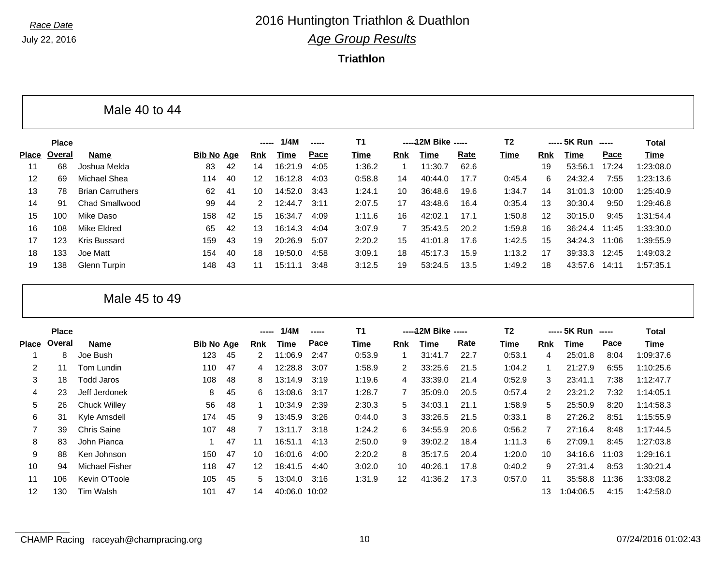**Triathlon**

|                   |              | Male 40 to 44           |                   |    |               |         |      |        |            |                     |      |                |                   |                    |       |           |  |
|-------------------|--------------|-------------------------|-------------------|----|---------------|---------|------|--------|------------|---------------------|------|----------------|-------------------|--------------------|-------|-----------|--|
|                   | <b>Place</b> |                         |                   |    |               | 1/4M    |      | T1     |            | -----12M Bike ----- |      | T <sub>2</sub> |                   | ----- 5K Run ----- |       | Total     |  |
| <b>Place</b>      | Overal       | Name                    | <b>Bib No Age</b> |    | <b>Rnk</b>    | Time    | Pace | Time   | <b>Rnk</b> | Time                | Rate | Time           | <b>Rnk</b>        | Time               | Pace  | Time      |  |
| 11                | 68           | Joshua Melda            | 83                | 42 | 14            | 16:21.9 | 4:05 | 1:36.2 |            | 11:30.7             | 62.6 |                | 19                | 53:56.1            | 17:24 | 1:23:08.0 |  |
| $12 \overline{ }$ | 69           | Michael Shea            | 114               | 40 | 12            | 16:12.8 | 4:03 | 0:58.8 | 14         | 40:44.0             | 17.7 | 0:45.4         | 6                 | 24:32.4            | 7:55  | 1:23:13.6 |  |
| 13                | 78           | <b>Brian Carruthers</b> | 62                | 41 | 10            | 14:52.0 | 3:43 | 1:24.1 | 10         | 36:48.6             | 19.6 | 1:34.7         | 14                | 31:01.3            | 10:00 | 1:25:40.9 |  |
| 14                | 91           | <b>Chad Smallwood</b>   | 99                | 44 | $\mathcal{P}$ | 12:44.7 | 3:11 | 2:07.5 | 17         | 43:48.6             | 16.4 | 0:35.4         | 13                | 30:30.4            | 9:50  | 1:29:46.8 |  |
| 15                | 100          | Mike Daso               | 158               | 42 | 15            | 16:34.7 | 4:09 | 1:11.6 | 16         | 42:02.1             | 17.1 | 1:50.8         | $12 \overline{ }$ | 30:15.0            | 9:45  | 1:31:54.4 |  |
| 16                | 108          | <b>Mike Eldred</b>      | 65                | 42 | 13            | 16:14.3 | 4:04 | 3:07.9 | 7          | 35:43.5             | 20.2 | 1:59.8         | 16                | 36:24.4 11:45      |       | 1:33:30.0 |  |
| 17                | 123          | Kris Bussard            | 159               | 43 | 19            | 20:26.9 | 5:07 | 2:20.2 | 15         | 41:01.8             | 17.6 | 1:42.5         | 15                | 34:24.3            | 11:06 | 1:39:55.9 |  |
| 18                | 133          | Joe Matt                | 154               | 40 | 18            | 19:50.0 | 4:58 | 3:09.1 | 18         | 45:17.3             | 15.9 | 1:13.2         | 17                | 39:33.3            | 12:45 | 1:49:03.2 |  |
| 19                | 138          | Glenn Turpin            | 148               | 43 | 11            | 15:11.1 | 3:48 | 3:12.5 | 19         | 53:24.5             | 13.5 | 1:49.2         | 18                | 43:57.6            | 14:11 | 1:57:35.1 |  |

Male 45 to 49

|       | <b>Place</b> |                       |                   |    | -----           | 1/4M                    | ----- | T <sub>1</sub> |              | -----12M Bike ----- |      | T <sub>2</sub> |            | ----- 5K Run ----- |       | Total     |
|-------|--------------|-----------------------|-------------------|----|-----------------|-------------------------|-------|----------------|--------------|---------------------|------|----------------|------------|--------------------|-------|-----------|
| Place | Overal       | Name                  | <b>Bib No Age</b> |    | <b>Rnk</b>      | Time                    | Pace  | Time           | <b>Rnk</b>   | Time                | Rate | Time           | <b>Rnk</b> | Time               | Pace  | Time      |
|       | 8            | Joe Bush              | 123               | 45 | 2               | 11:06.9                 | 2:47  | 0:53.9         |              | 31:41.7             | 22.7 | 0:53.1         | 4          | 25:01.8            | 8:04  | 1:09:37.6 |
| 2     | 11           | Tom Lundin            | 110               | 47 | 4               | 12:28.8                 | 3:07  | 1:58.9         | $\mathbf{2}$ | 33:25.6             | 21.5 | 1:04.2         |            | 21:27.9            | 6:55  | 1:10:25.6 |
| 3     | 18           | Todd Jaros            | 108               | 48 | 8               | 13:14.9                 | 3:19  | 1:19.6         | 4            | 33:39.0             | 21.4 | 0:52.9         | 3          | 23:41.1            | 7:38  | 1:12:47.7 |
| 4     | 23           | Jeff Jerdonek         | 8                 | 45 | 6               | 13:08.6                 | 3:17  | 1:28.7         |              | 35:09.0             | 20.5 | 0:57.4         | 2          | 23:21.2            | 7:32  | 1:14:05.1 |
| 5     | 26           | Chuck Willey          | 56                | 48 |                 | 10:34.9                 | 2:39  | 2:30.3         | 5            | 34:03.1             | 21.1 | 1:58.9         | 5          | 25:50.9            | 8:20  | 1:14:58.3 |
| 6     | 31           | Kyle Amsdell          | 174               | 45 | 9               | 13:45.9                 | 3:26  | 0:44.0         | 3            | 33:26.5             | 21.5 | 0:33.1         | 8          | 27:26.2            | 8:51  | 1:15:55.9 |
| 7     | 39           | <b>Chris Saine</b>    | 107               | 48 |                 | 13:11<br>$\overline{7}$ | 3:18  | 1:24.2         | 6            | 34:55.9             | 20.6 | 0:56.2         | 7          | 27:16.4            | 8:48  | 1:17:44.5 |
| 8     | 83           | John Pianca           |                   | 47 | 11              | 16:51.1                 | 4:13  | 2:50.0         | 9            | 39:02.2             | 18.4 | 1:11.3         | 6          | 27:09.1            | 8:45  | 1:27:03.8 |
| 9     | 88           | Ken Johnson           | 150               | 47 | 10              | 16:01.6                 | 4:00  | 2:20.2         | 8            | 35:17.5             | 20.4 | 1:20.0         | 10         | 34:16.6            | 11:03 | 1:29:16.1 |
| 10    | 94           | <b>Michael Fisher</b> | 118               | 47 | 12 <sup>2</sup> | 18:41.5                 | 4:40  | 3:02.0         | 10           | 40:26.1             | 17.8 | 0:40.2         | 9          | 27:31.4            | 8:53  | 1:30:21.4 |
| 11    | 106          | Kevin O'Toole         | 105               | 45 | 5               | 13:04.0                 | 3:16  | 1:31.9         | 12           | 41:36.2             | 17.3 | 0:57.0         | 11         | 35:58.8            | 11:36 | 1:33:08.2 |
| 12    | 130          | Tim Walsh             | 101               | 47 | 14              | 40:06.0 10:02           |       |                |              |                     |      |                | 13         | 1:04:06.5          | 4:15  | 1:42:58.0 |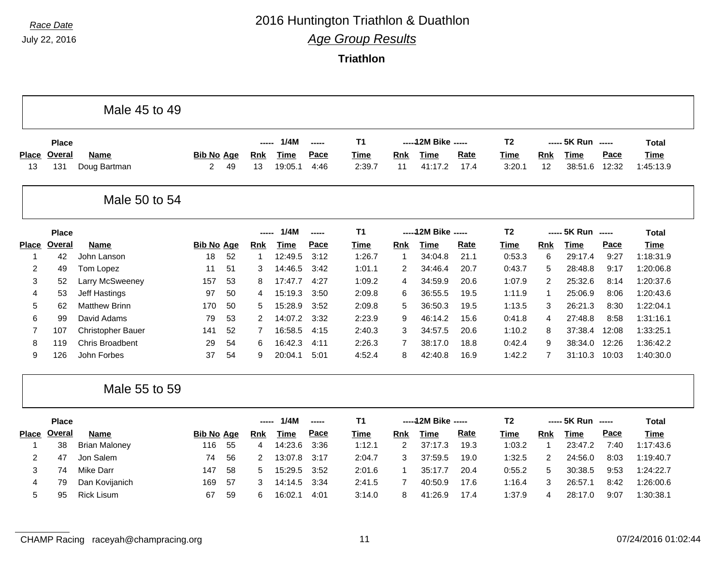# *Race Date* 2016 Huntington Triathlon & Duathlon

*Age Group Results*

|                    |               | Male 45 to 49               |                        |    |                  |                        |               |                       |                |                        |              |                       |                |                        |               |                          |
|--------------------|---------------|-----------------------------|------------------------|----|------------------|------------------------|---------------|-----------------------|----------------|------------------------|--------------|-----------------------|----------------|------------------------|---------------|--------------------------|
|                    | <b>Place</b>  |                             |                        |    |                  | 1/4M                   | $\frac{1}{2}$ | <b>T1</b>             |                | ----- 12M Bike -----   |              | T <sub>2</sub>        |                | ----- 5K Run -----     |               | <b>Total</b>             |
| <b>Place</b><br>13 | Overal<br>131 | <b>Name</b><br>Doug Bartman | <b>Bib No Age</b><br>2 | 49 | <b>Rnk</b><br>13 | <b>Time</b><br>19:05.1 | Pace<br>4:46  | <b>Time</b><br>2:39.7 | Rnk<br>11      | <b>Time</b><br>41:17.2 | Rate<br>17.4 | <b>Time</b><br>3:20.1 | Rnk<br>12      | <b>Time</b><br>38:51.6 | Pace<br>12:32 | <b>Time</b><br>1:45:13.9 |
|                    |               |                             |                        |    |                  |                        |               |                       |                |                        |              |                       |                |                        |               |                          |
|                    |               | Male 50 to 54               |                        |    |                  |                        |               |                       |                |                        |              |                       |                |                        |               |                          |
|                    | <b>Place</b>  |                             |                        |    | $\frac{1}{2}$    | 1/4M                   | -----         | <b>T1</b>             |                | ----- 12M Bike -----   |              | T <sub>2</sub>        |                | ----- 5K Run -----     |               | <b>Total</b>             |
| <b>Place</b>       | Overal        | <b>Name</b>                 | <b>Bib No Age</b>      |    | <b>Rnk</b>       | <b>Time</b>            | Pace          | <b>Time</b>           | Rnk            | <b>Time</b>            | Rate         | <b>Time</b>           | Rnk            | <b>Time</b>            | Pace          | <b>Time</b>              |
| 1                  | 42            | John Lanson                 | 18                     | 52 | $\mathbf{1}$     | 12:49.5                | 3:12          | 1:26.7                | $\mathbf{1}$   | 34:04.8                | 21.1         | 0:53.3                | 6              | 29:17.4                | 9:27          | 1:18:31.9                |
| $\overline{2}$     | 49            | Tom Lopez                   | 11                     | 51 | 3                | 14:46.5                | 3:42          | 1:01.1                | 2              | 34:46.4                | 20.7         | 0:43.7                | 5              | 28:48.8                | 9:17          | 1:20:06.8                |
| 3                  | 52            | Larry McSweeney             | 157                    | 53 | 8                | 17:47.7                | 4:27          | 1:09.2                | 4              | 34:59.9                | 20.6         | 1:07.9                | 2              | 25:32.6                | 8:14          | 1:20:37.6                |
| 4                  | 53            | Jeff Hastings               | 97                     | 50 | 4                | 15:19.3                | 3:50          | 2:09.8                | 6              | 36:55.5                | 19.5         | 1:11.9                | $\mathbf 1$    | 25:06.9                | 8:06          | 1:20:43.6                |
| 5                  | 62            | <b>Matthew Brinn</b>        | 170                    | 50 | 5                | 15:28.9                | 3:52          | 2:09.8                | 5              | 36:50.3                | 19.5         | 1:13.5                | 3              | 26:21.3                | 8:30          | 1:22:04.1                |
| 6                  | 99            | David Adams                 | 79                     | 53 | 2                | 14:07.2                | 3:32          | 2:23.9                | 9              | 46:14.2                | 15.6         | 0:41.8                | $\overline{4}$ | 27:48.8                | 8:58          | 1:31:16.1                |
| $\overline{7}$     | 107           | <b>Christopher Bauer</b>    | 141                    | 52 | $\overline{7}$   | 16:58.5                | 4:15          | 2:40.3                | 3              | 34:57.5                | 20.6         | 1:10.2                | 8              | 37:38.4                | 12:08         | 1:33:25.1                |
| 8                  | 119           | <b>Chris Broadbent</b>      | 29                     | 54 | 6                | 16:42.3                | 4:11          | 2:26.3                | $\overline{7}$ | 38:17.0                | 18.8         | 0:42.4                | 9              | 38:34.0                | 12:26         | 1:36:42.2                |
| 9                  | 126           | John Forbes                 | 37                     | 54 | 9                | 20:04.1                | 5:01          | 4:52.4                | 8              | 42:40.8                | 16.9         | 1:42.2                | $\overline{7}$ | 31:10.3                | 10:03         | 1:40:30.0                |
|                    |               | Male 55 to 59               |                        |    |                  |                        |               |                       |                |                        |              |                       |                |                        |               |                          |
|                    | <b>Place</b>  |                             |                        |    | -----            | 1/4M                   | $-$           | T1                    |                | ----- 12M Bike -----   |              | T <sub>2</sub>        |                | ----- 5K Run -----     |               | <b>Total</b>             |
| <b>Place</b>       | <b>Overal</b> | <b>Name</b>                 | <b>Bib No Age</b>      |    | <b>Rnk</b>       | <b>Time</b>            | Pace          | <b>Time</b>           | Rnk            | <b>Time</b>            | <b>Rate</b>  | Time                  | Rnk            | <b>Time</b>            | Pace          | <b>Time</b>              |
| -1                 | 38            | <b>Brian Maloney</b>        | 116                    | 55 | 4                | 14:23.6                | 3:36          | 1:12.1                | $\overline{2}$ | 37:17.3                | 19.3         | 1:03.2                | $\mathbf 1$    | 23:47.2                | 7:40          | 1:17:43.6                |
| $\overline{c}$     | 47            | Jon Salem                   | 74                     | 56 | 2                | 13:07.8                | 3:17          | 2:04.7                | 3              | 37:59.5                | 19.0         | 1:32.5                | 2              | 24:56.0                | 8:03          | 1:19:40.7                |
| 3                  | 74            | <b>Mike Darr</b>            | 147                    | 58 | 5                | 15:29.5                | 3:52          | 2:01.6                | $\mathbf{1}$   | 35:17.7                | 20.4         | 0:55.2                | 5              | 30:38.5                | 9:53          | 1:24:22.7                |
| 4                  | 79            | Dan Kovijanich              | 169                    | 57 | 3                | 14:14.5                | 3:34          | 2:41.5                | 7              | 40:50.9                | 17.6         | 1:16.4                | 3              | 26:57.1                | 8:42          | 1:26:00.6                |
| 5                  | 95            | <b>Rick Lisum</b>           | 67                     | 59 | 6                | 16:02.1                | 4:01          | 3:14.0                | 8              | 41:26.9                | 17.4         | 1:37.9                | $\overline{4}$ | 28:17.0                | 9:07          | 1:30:38.1                |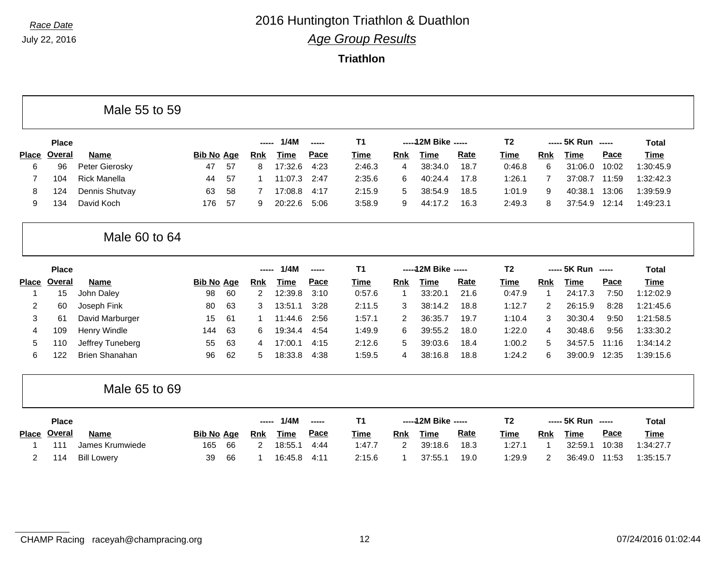F

# *Race Date* 2016 Huntington Triathlon & Duathlon *Age Group Results*

**Triathlon**

|                   |               | Male 55 to 59         |                   |    |            |             |       |                |                |                      |      |                |                |                    |       |              |
|-------------------|---------------|-----------------------|-------------------|----|------------|-------------|-------|----------------|----------------|----------------------|------|----------------|----------------|--------------------|-------|--------------|
|                   | <b>Place</b>  |                       |                   |    | -----      | 1/4M        | ----- | T <sub>1</sub> |                | ----- 12M Bike ----- |      | T <sub>2</sub> |                | ----- 5K Run ----- |       | Total        |
| <b>Place</b>      | Overal        | Name                  | <b>Bib No Age</b> |    | <u>Rnk</u> | <b>Time</b> | Pace  | Time           | <b>Rnk</b>     | Time                 | Rate | <b>Time</b>    | Rnk            | <b>Time</b>        | Pace  | <b>Time</b>  |
| 6                 | 96            | Peter Gierosky        | 47                | 57 | 8          | 17:32.6     | 4:23  | 2:46.3         | 4              | 38:34.0              | 18.7 | 0:46.8         | 6              | 31:06.0            | 10:02 | 1:30:45.9    |
| $\overline{7}$    | 104           | <b>Rick Manella</b>   | 44                | 57 | -1         | 11:07.3     | 2:47  | 2:35.6         | 6              | 40:24.4              | 17.8 | 1:26.1         | $\overline{7}$ | 37:08.7            | 11:59 | 1:32:42.3    |
| 8                 | 124           | Dennis Shutvay        | 63                | 58 | 7          | 17:08.8     | 4:17  | 2:15.9         | 5              | 38:54.9              | 18.5 | 1:01.9         | 9              | 40:38.1            | 13:06 | 1:39:59.9    |
| 9                 | 134           | David Koch            | 176               | 57 | 9          | 20:22.6     | 5:06  | 3:58.9         | 9              | 44:17.2              | 16.3 | 2:49.3         | 8              | 37:54.9            | 12:14 | 1:49:23.1    |
|                   |               | Male 60 to 64         |                   |    |            |             |       |                |                |                      |      |                |                |                    |       |              |
|                   |               |                       |                   |    |            |             |       |                |                |                      |      |                |                |                    |       |              |
|                   | <b>Place</b>  |                       |                   |    | -----      | 1/4M        | ----- | T <sub>1</sub> |                | ----- 12M Bike ----- |      | T <sub>2</sub> |                | ----- 5K Run ----- |       | <b>Total</b> |
|                   | <b>Overal</b> | <b>Name</b>           | <b>Bib No Age</b> |    | <u>Rnk</u> | <b>Time</b> | Pace  | Time           | <b>Rnk</b>     | Time                 | Rate | <b>Time</b>    | Rnk            | <b>Time</b>        | Pace  | <b>Time</b>  |
| -1                | 15            | John Daley            | 98                | 60 | 2          | 12:39.8     | 3:10  | 0:57.6         |                | 33:20.1              | 21.6 | 0:47.9         | -1             | 24:17.3            | 7:50  | 1:12:02.9    |
| 2                 | 60            | Joseph Fink           | 80                | 63 | 3          | 13:51.1     | 3:28  | 2:11.5         | 3              | 38:14.2              | 18.8 | 1:12.7         | 2              | 26:15.9            | 8:28  | 1:21:45.6    |
| 3                 | 61            | David Marburger       | 15                | 61 | -1         | 11:44.6     | 2:56  | 1:57.1         | $\overline{2}$ | 36:35.7              | 19.7 | 1:10.4         | 3              | 30:30.4            | 9:50  | 1:21:58.5    |
| 4                 | 109           | Henry Windle          | 144               | 63 | 6          | 19:34.4     | 4:54  | 1:49.9         | 6              | 39:55.2              | 18.0 | 1:22.0         | 4              | 30:48.6            | 9:56  | 1:33:30.2    |
| <b>Place</b><br>5 | 110           | Jeffrey Tuneberg      | 55                | 63 | 4          | 17:00.1     | 4:15  | 2:12.6         | 5              | 39:03.6              | 18.4 | 1:00.2         | 5              | 34:57.5            | 11:16 | 1:34:14.2    |
| 6                 | 122           | <b>Brien Shanahan</b> | 96                | 62 | 5          | 18:33.8     | 4:38  | 1:59.5         | 4              | 38:16.8              | 18.8 | 1:24.2         | 6              | 39:00.9            | 12:35 | 1:39:15.6    |

| <b>Place</b> |                    |                   |     | ----- | 1/4M    | $\begin{array}{ccc}\n\text{---} & \text{---} & \text{---} & \text{---} \\ \text{---} & \text{---} & \text{---} & \text{---} & \text{---} & \text{---} & \text{---} \\ \text{---} & \text{---} & \text{---} & \text{---} & \text{---} & \text{---} & \text{---} & \text{---} & \text{---} \\ \text{---} & \text{---} & \text{---} & \text{---} & \text{---} & \text{---} & \text{---} & \text{---} & \text{---} & \text{---} & \text{---} & \text{---} & \text{---} & \text{---} & \text{---} & \text$ |             |     | -----12M Bike ----- |             |        |     | ----- 5K Run ----- |             | <b>Total</b> |
|--------------|--------------------|-------------------|-----|-------|---------|-------------------------------------------------------------------------------------------------------------------------------------------------------------------------------------------------------------------------------------------------------------------------------------------------------------------------------------------------------------------------------------------------------------------------------------------------------------------------------------------------------|-------------|-----|---------------------|-------------|--------|-----|--------------------|-------------|--------------|
| Place Overal | <b>Name</b>        | <b>Bib No Age</b> |     | Rnk   | Time    | Pace                                                                                                                                                                                                                                                                                                                                                                                                                                                                                                  | <b>Time</b> | Rnk | Time                | <b>Rate</b> | Time   | Rnk | Time               | <b>Pace</b> | <u>Time</u>  |
| 111          | James Krumwiede    | 165               | -66 |       | 18:55.7 | 4:44                                                                                                                                                                                                                                                                                                                                                                                                                                                                                                  | 1:47.7      |     | 39:18.6             | 18.3        | 1:27.1 |     | 32:59.1            | 10:38       | 1:34:27.7    |
| 114          | <b>Bill Lowerv</b> | 39                | 66  |       | 16:45.8 | 4:11                                                                                                                                                                                                                                                                                                                                                                                                                                                                                                  | 2:15.6      |     | 37:55.              | 19.0        | :29.9  |     | 36:49.0            | 11:53       | 1:35:15.7    |

٦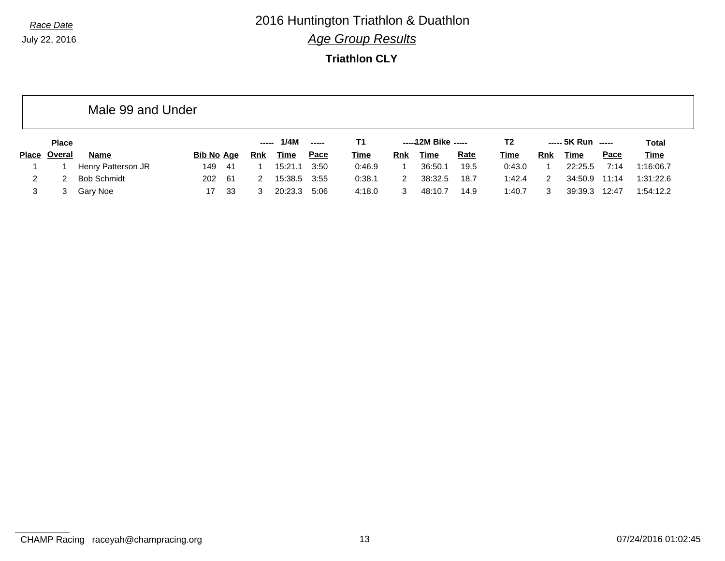**Triathlon CLY**

|       |              | Male 99 and Under  |                   |      |     |         |               |             |            |                     |             |             |     |                    |             |              |
|-------|--------------|--------------------|-------------------|------|-----|---------|---------------|-------------|------------|---------------------|-------------|-------------|-----|--------------------|-------------|--------------|
|       | <b>Place</b> |                    |                   |      |     | 1/4M    | $\frac{1}{2}$ | T1          |            | -----12M Bike ----- |             | T2          |     | ----- 5K Run ----- |             | <b>Total</b> |
| Place | Overal       | <b>Name</b>        | <b>Bib No Age</b> |      | Rnk | Time    | <u>Pace</u>   | <b>Time</b> | <b>Rnk</b> | Time                | <b>Rate</b> | <u>Time</u> | Rnk | Time               | <b>Pace</b> | <u>Time</u>  |
|       |              | Henry Patterson JR | 149               | -41  |     | 15:21.1 | 3:50          | 0:46.9      |            | 36:50.1             | 19.5        | 0:43.0      |     | 22:25.5            | 7:14        | 1:16:06.7    |
| 2     |              | <b>Bob Schmidt</b> | 202               | - 61 | 2   | 15:38.5 | 3:55          | 0:38.1      | 2          | 38:32.5             | 18.7        | 1:42.4      |     | 34:50.9            | 11:14       | 1:31:22.6    |
|       |              | Gary Noe           | 17                | 33   | 3   | 20:23.3 | 5:06          | 4:18.0      |            | 48:10.7             | 14.9        | 1:40.7      |     | 39:39.3            | 12:47       | 1:54:12.2    |

CHAMP Racing raceyah@champracing.org 13 07/24/2016 01:02:45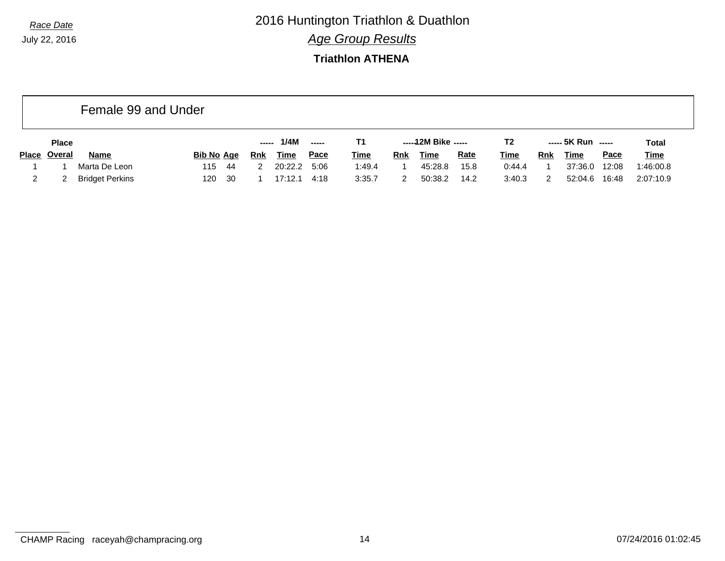*Race Date* 2016 Huntington Triathlon & Duathlon *Age Group Results*

#### **Triathlon ATHENA**

|       |              | Female 99 and Under    |             |     |             |             |             |     |                     |             |                |     |                    |             |              |
|-------|--------------|------------------------|-------------|-----|-------------|-------------|-------------|-----|---------------------|-------------|----------------|-----|--------------------|-------------|--------------|
|       | <b>Place</b> |                        |             |     | 1/4M        | ------      | Τ1          |     | $---12M$ Bike $---$ |             | T <sub>2</sub> |     | ----- 5K Run ----- |             | <b>Total</b> |
| Place | Overal       | <b>Name</b>            | Bib No Age  | Rnk | <b>Time</b> | <u>Pace</u> | <b>Time</b> | Rnk | <b>Time</b>         | <b>Rate</b> | Time           | Rnk | <u>Time</u>        | <b>Pace</b> | <b>Time</b>  |
|       |              | Marta De Leon          | 115<br>-44  |     | 20:22.2     | 5:06        | 1:49.4      |     | 45:28.8             | 15.8        | 0:44.4         |     | 37:36.0            | 12:08       | 1:46:00.8    |
|       |              | <b>Bridget Perkins</b> | - 30<br>120 |     | 17:12.1     | 4:18        | 3:35.7      |     | 50:38.2             | 14.2        | 3:40.3         |     | 52:04.6            | 16:48       | 2:07:10.9    |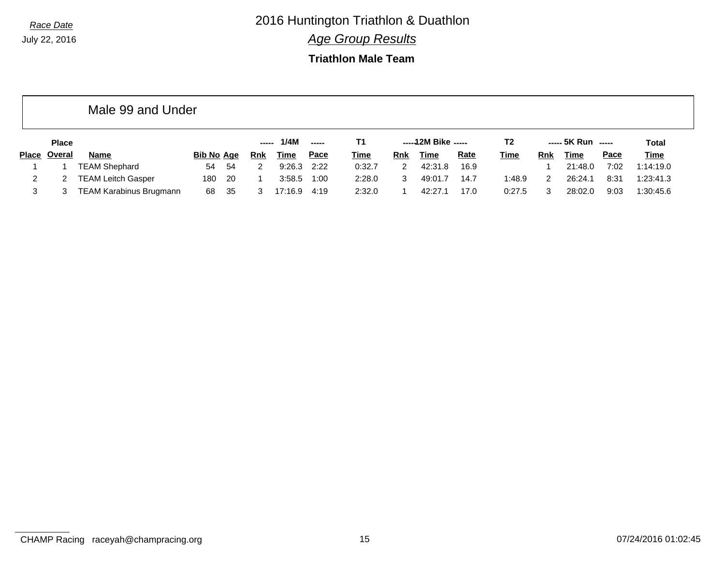*Race Date* 2016 Huntington Triathlon & Duathlon

*Age Group Results*

#### **Triathlon Male Team**

|              |              | Male 99 and Under         |                   |     |            |             |               |             |            |                     |             |             |            |                    |             |              |
|--------------|--------------|---------------------------|-------------------|-----|------------|-------------|---------------|-------------|------------|---------------------|-------------|-------------|------------|--------------------|-------------|--------------|
|              | <b>Place</b> |                           |                   |     | -----      | 1/4M        | $\frac{1}{2}$ | Т1          |            | $---12M$ Bike $---$ |             | T2          |            | $---$ 5K Run $---$ |             | <b>Total</b> |
| <b>Place</b> | Overal       | Name                      | <b>Bib No Age</b> |     | <u>Rnk</u> | <u>Time</u> | Pace          | <u>Time</u> | <u>Rnk</u> | Time                | <b>Rate</b> | <b>Time</b> | <u>Rnk</u> | <u>Time</u>        | <b>Pace</b> | <b>Time</b>  |
|              |              | <b>TEAM Shephard</b>      | 54                | 54  | 2          | 9:26.3      | 2:22          | 0:32.7      | 2          | 42:31.8             | 16.9        |             |            | 21:48.0            | 7:02        | 1:14:19.0    |
|              |              | <b>TEAM Leitch Gasper</b> | 180               | -20 |            | 3:58.5      | 1:00          | 2:28.0      | 3          | 49:01.7             | 14.7        | 1:48.9      | 2          | 26:24.1            | 8:31        | 1:23:41.3    |
| 3            |              | TEAM Karabinus Brugmann   | 68                | -35 |            | 17:16.9     | 4:19          | 2:32.0      |            | 42:27.1             | 17.0        | 0:27.5      |            | 28:02.0            | 9:03        | 1:30:45.6    |